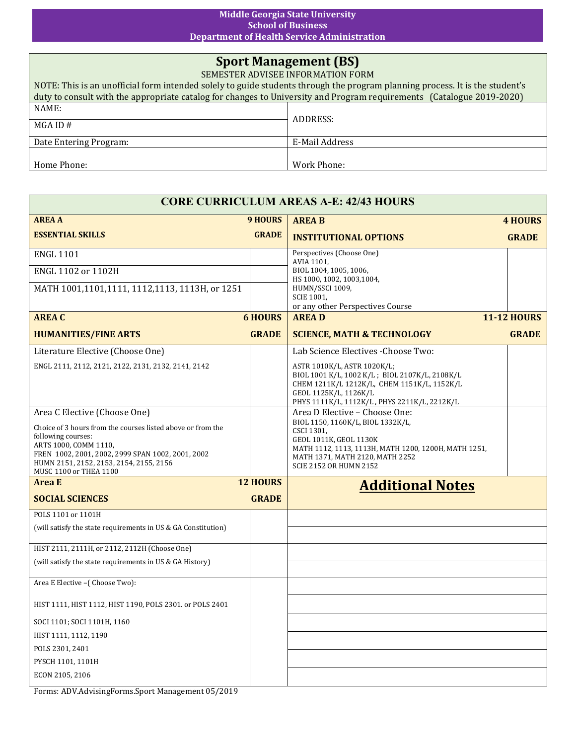## **Middle Georgia State University School of Business Department of Health Service Administration**

## **Sport Management (BS)**

SEMESTER ADVISEE INFORMATION FORM

| NOTE: This is an unofficial form intended solely to guide students through the program planning process. It is the student's |                |  |  |
|------------------------------------------------------------------------------------------------------------------------------|----------------|--|--|
| duty to consult with the appropriate catalog for changes to University and Program requirements (Catalogue 2019-2020)        |                |  |  |
| NAME:                                                                                                                        |                |  |  |
| $MGA$ ID #                                                                                                                   | ADDRESS:       |  |  |
| Date Entering Program:                                                                                                       | E-Mail Address |  |  |
|                                                                                                                              |                |  |  |
| Home Phone:                                                                                                                  | Work Phone:    |  |  |

| <b>CORE CURRICULUM AREAS A-E: 42/43 HOURS</b>                                                                                                                                                                                        |                                            |                                                                                                                                                                                                       |                    |  |  |
|--------------------------------------------------------------------------------------------------------------------------------------------------------------------------------------------------------------------------------------|--------------------------------------------|-------------------------------------------------------------------------------------------------------------------------------------------------------------------------------------------------------|--------------------|--|--|
| <b>AREA A</b>                                                                                                                                                                                                                        | <b>9 HOURS</b>                             | <b>AREA B</b>                                                                                                                                                                                         | <b>4 HOURS</b>     |  |  |
| <b>ESSENTIAL SKILLS</b>                                                                                                                                                                                                              | <b>GRADE</b>                               | <b>INSTITUTIONAL OPTIONS</b>                                                                                                                                                                          | <b>GRADE</b>       |  |  |
| <b>ENGL 1101</b>                                                                                                                                                                                                                     |                                            | Perspectives (Choose One)<br>AVIA 1101,                                                                                                                                                               |                    |  |  |
| ENGL 1102 or 1102H                                                                                                                                                                                                                   |                                            | BIOL 1004, 1005, 1006,<br>HS 1000, 1002, 1003, 1004,                                                                                                                                                  |                    |  |  |
| MATH 1001,1101,1111, 1112,1113, 1113H, or 1251                                                                                                                                                                                       |                                            | HUMN/SSCI 1009,<br><b>SCIE 1001,</b><br>or any other Perspectives Course                                                                                                                              |                    |  |  |
| <b>AREA C</b>                                                                                                                                                                                                                        | <b>6 HOURS</b>                             | <b>AREAD</b>                                                                                                                                                                                          | <b>11-12 HOURS</b> |  |  |
| <b>HUMANITIES/FINE ARTS</b>                                                                                                                                                                                                          | <b>GRADE</b>                               | <b>SCIENCE, MATH &amp; TECHNOLOGY</b>                                                                                                                                                                 | <b>GRADE</b>       |  |  |
| Literature Elective (Choose One)                                                                                                                                                                                                     |                                            | Lab Science Electives - Choose Two:                                                                                                                                                                   |                    |  |  |
| ENGL 2111, 2112, 2121, 2122, 2131, 2132, 2141, 2142                                                                                                                                                                                  |                                            | ASTR 1010K/L, ASTR 1020K/L;<br>BIOL 1001 K/L, 1002 K/L; BIOL 2107K/L, 2108K/L<br>CHEM 1211K/L 1212K/L, CHEM 1151K/L, 1152K/L<br>GEOL 1125K/L, 1126K/L<br>PHYS 1111K/L, 1112K/L, PHYS 2211K/L, 2212K/L |                    |  |  |
| Area C Elective (Choose One)                                                                                                                                                                                                         |                                            | Area D Elective - Choose One:                                                                                                                                                                         |                    |  |  |
| Choice of 3 hours from the courses listed above or from the<br>following courses:<br>ARTS 1000, COMM 1110,<br>FREN 1002, 2001, 2002, 2999 SPAN 1002, 2001, 2002<br>HUMN 2151, 2152, 2153, 2154, 2155, 2156<br>MUSC 1100 or THEA 1100 |                                            | BIOL 1150, 1160K/L, BIOL 1332K/L,<br>CSCI 1301,<br>GEOL 1011K, GEOL 1130K<br>MATH 1112, 1113, 1113H, MATH 1200, 1200H, MATH 1251,<br>MATH 1371, MATH 2120, MATH 2252<br><b>SCIE 2152 OR HUMN 2152</b> |                    |  |  |
| <b>Area</b> E                                                                                                                                                                                                                        | <b>12 HOURS</b><br><b>Additional Notes</b> |                                                                                                                                                                                                       |                    |  |  |
| <b>SOCIAL SCIENCES</b>                                                                                                                                                                                                               | <b>GRADE</b>                               |                                                                                                                                                                                                       |                    |  |  |
| POLS 1101 or 1101H                                                                                                                                                                                                                   |                                            |                                                                                                                                                                                                       |                    |  |  |
| (will satisfy the state requirements in US & GA Constitution)                                                                                                                                                                        |                                            |                                                                                                                                                                                                       |                    |  |  |
| HIST 2111, 2111H, or 2112, 2112H (Choose One)                                                                                                                                                                                        |                                            |                                                                                                                                                                                                       |                    |  |  |
| (will satisfy the state requirements in US & GA History)                                                                                                                                                                             |                                            |                                                                                                                                                                                                       |                    |  |  |
| Area E Elective -(Choose Two):                                                                                                                                                                                                       |                                            |                                                                                                                                                                                                       |                    |  |  |
| HIST 1111, HIST 1112, HIST 1190, POLS 2301. or POLS 2401                                                                                                                                                                             |                                            |                                                                                                                                                                                                       |                    |  |  |
| SOCI 1101; SOCI 1101H, 1160                                                                                                                                                                                                          |                                            |                                                                                                                                                                                                       |                    |  |  |
| HIST 1111, 1112, 1190                                                                                                                                                                                                                |                                            |                                                                                                                                                                                                       |                    |  |  |
| POLS 2301, 2401                                                                                                                                                                                                                      |                                            |                                                                                                                                                                                                       |                    |  |  |
| PYSCH 1101, 1101H                                                                                                                                                                                                                    |                                            |                                                                                                                                                                                                       |                    |  |  |
| ECON 2105, 2106                                                                                                                                                                                                                      |                                            |                                                                                                                                                                                                       |                    |  |  |

Forms: ADV.AdvisingForms.Sport Management 05/2019